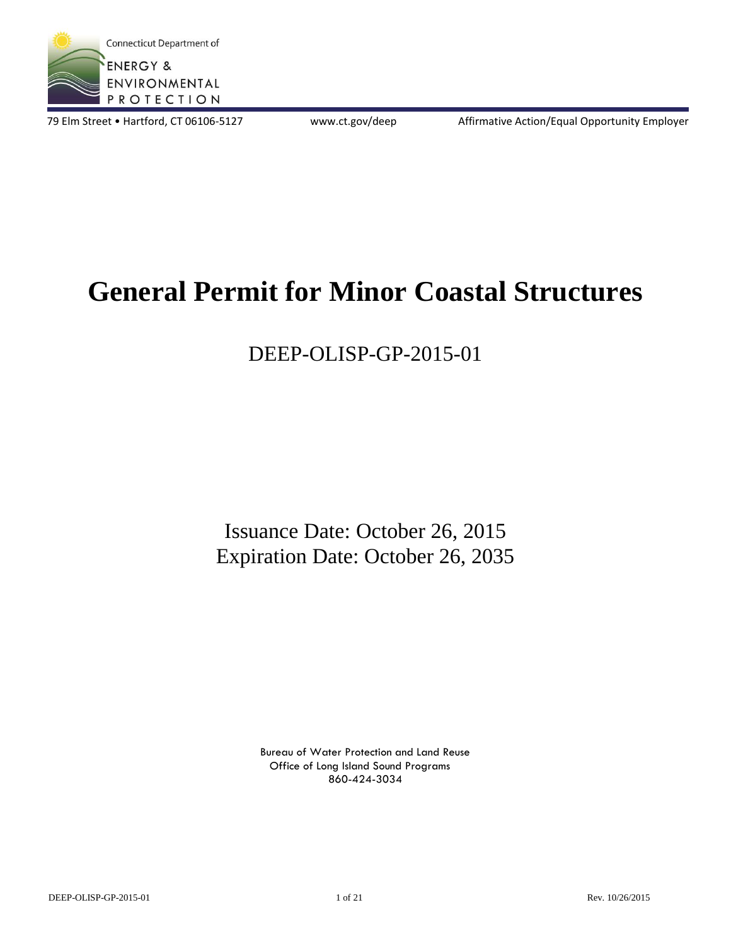

79 Elm Street • Hartford, CT 06106-5127 www.ct.gov/deep Affirmative Action/Equal Opportunity Employer

# **General Permit for Minor Coastal Structures**

## DEEP-OLISP-GP-2015-01

Issuance Date: October 26, 2015 Expiration Date: October 26, 2035

> Bureau of Water Protection and Land Reuse Office of Long Island Sound Programs 860-424-3034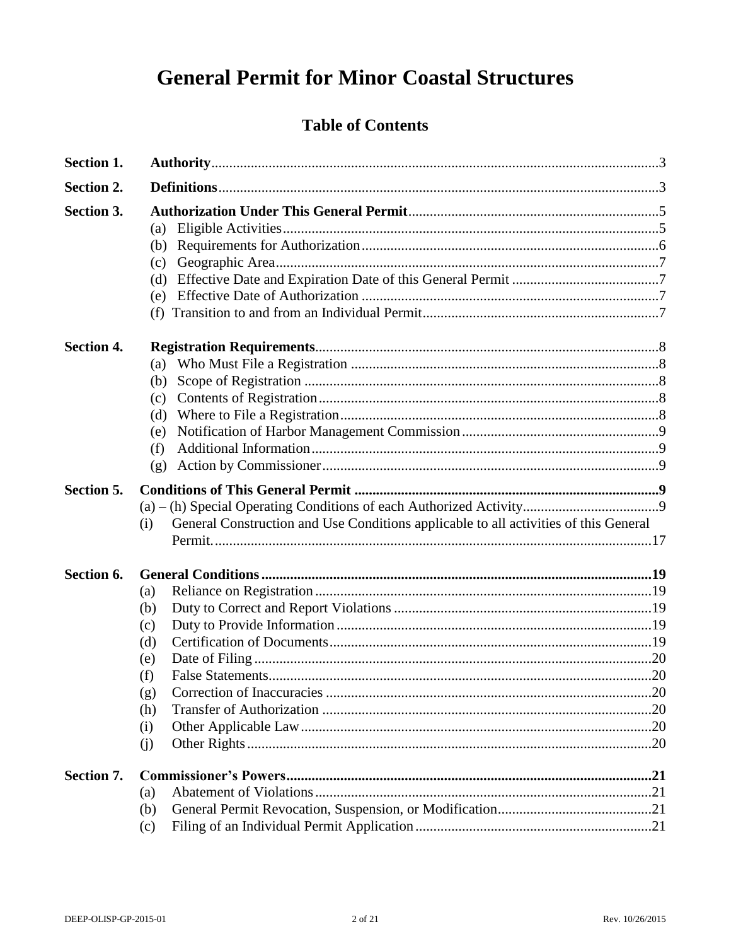## **General Permit for Minor Coastal Structures**

## **Table of Contents**

| <b>Section 1.</b> |                                                                                             |  |
|-------------------|---------------------------------------------------------------------------------------------|--|
| Section 2.        |                                                                                             |  |
| Section 3.        | (a)<br>(b)<br>(c)<br>(d)<br>(e)                                                             |  |
| <b>Section 4.</b> | (a)<br>(b)<br>(c)<br>(d)<br>(e)<br>(f)<br>(g)                                               |  |
| Section 5.        | General Construction and Use Conditions applicable to all activities of this General<br>(i) |  |
| Section 6.        | (a)<br>(b)<br>(c)<br>(d)<br>(e)<br>(f)<br>(g)<br>(h)<br>(i)<br>(j)                          |  |
| Section 7.        | (a)<br>(b)<br>(c)                                                                           |  |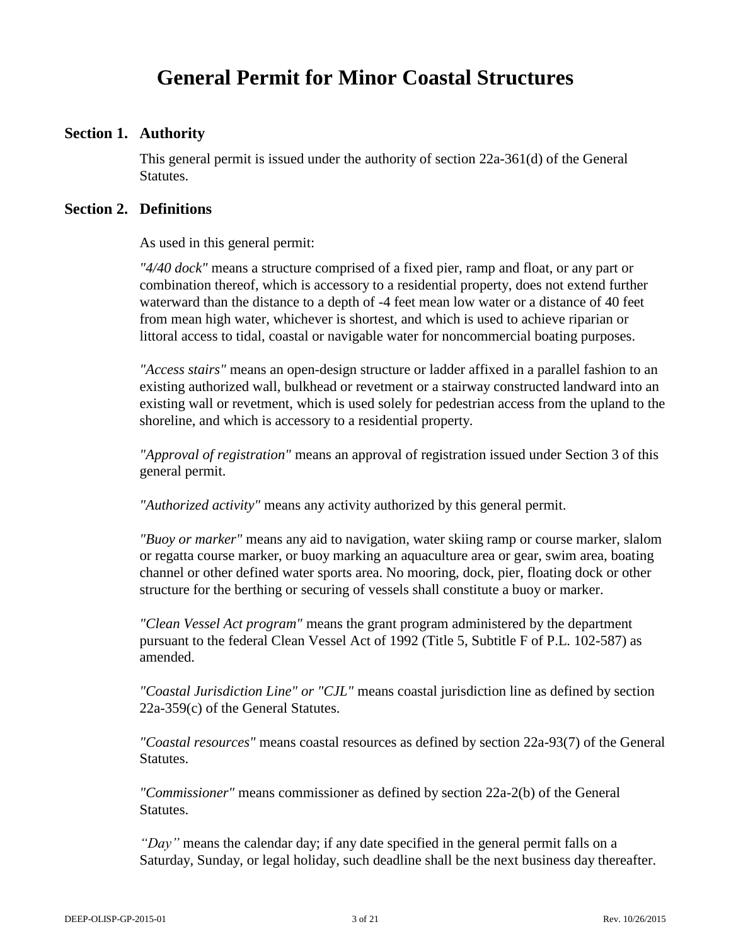## **General Permit for Minor Coastal Structures**

## **Section 1. Authority**

This general permit is issued under the authority of section 22a-361(d) of the General Statutes.

#### **Section 2. Definitions**

As used in this general permit:

*"4/40 dock"* means a structure comprised of a fixed pier, ramp and float, or any part or combination thereof, which is accessory to a residential property, does not extend further waterward than the distance to a depth of -4 feet mean low water or a distance of 40 feet from mean high water, whichever is shortest, and which is used to achieve riparian or littoral access to tidal, coastal or navigable water for noncommercial boating purposes.

*"Access stairs"* means an open-design structure or ladder affixed in a parallel fashion to an existing authorized wall, bulkhead or revetment or a stairway constructed landward into an existing wall or revetment, which is used solely for pedestrian access from the upland to the shoreline, and which is accessory to a residential property.

*"Approval of registration"* means an approval of registration issued under Section 3 of this general permit.

*"Authorized activity"* means any activity authorized by this general permit.

*"Buoy or marker"* means any aid to navigation, water skiing ramp or course marker, slalom or regatta course marker, or buoy marking an aquaculture area or gear, swim area, boating channel or other defined water sports area. No mooring, dock, pier, floating dock or other structure for the berthing or securing of vessels shall constitute a buoy or marker.

*"Clean Vessel Act program"* means the grant program administered by the department pursuant to the federal Clean Vessel Act of 1992 (Title 5, Subtitle F of P.L. 102-587) as amended.

*"Coastal Jurisdiction Line" or "CJL"* means coastal jurisdiction line as defined by section 22a-359(c) of the General Statutes.

*"Coastal resources"* means coastal resources as defined by section 22a-93(7) of the General Statutes.

*"Commissioner"* means commissioner as defined by section 22a-2(b) of the General Statutes.

*"Day"* means the calendar day; if any date specified in the general permit falls on a Saturday, Sunday, or legal holiday, such deadline shall be the next business day thereafter.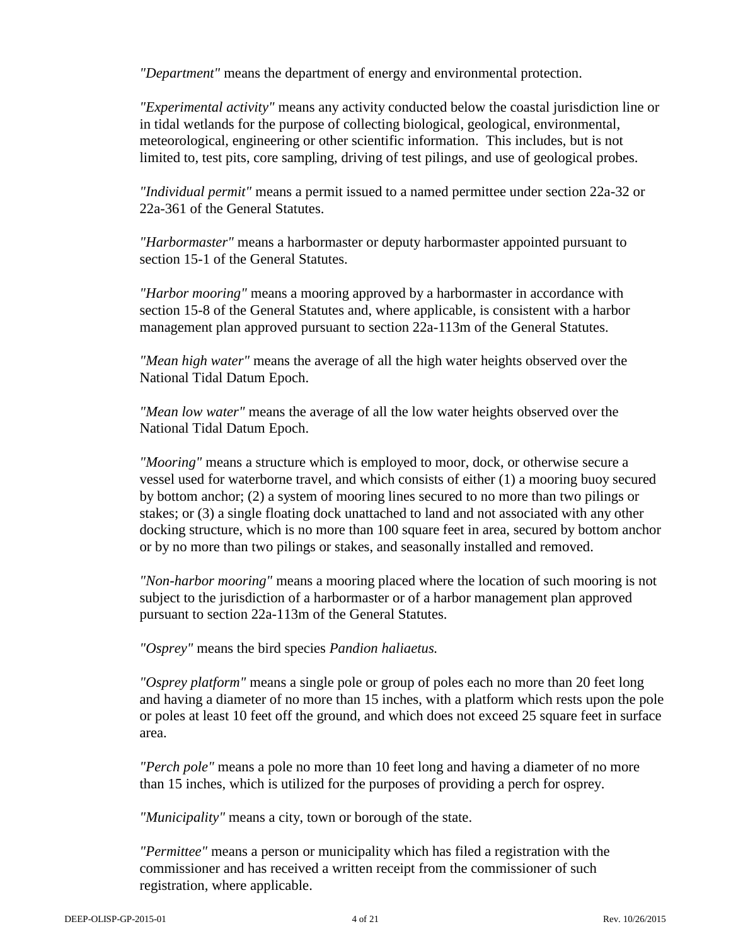*"Department"* means the department of energy and environmental protection.

*"Experimental activity"* means any activity conducted below the coastal jurisdiction line or in tidal wetlands for the purpose of collecting biological, geological, environmental, meteorological, engineering or other scientific information. This includes, but is not limited to, test pits, core sampling, driving of test pilings, and use of geological probes.

*"Individual permit"* means a permit issued to a named permittee under section 22a-32 or 22a-361 of the General Statutes.

*"Harbormaster"* means a harbormaster or deputy harbormaster appointed pursuant to section 15-1 of the General Statutes.

*"Harbor mooring"* means a mooring approved by a harbormaster in accordance with section 15-8 of the General Statutes and, where applicable, is consistent with a harbor management plan approved pursuant to section 22a-113m of the General Statutes.

*"Mean high water"* means the average of all the high water heights observed over the National Tidal Datum Epoch.

*"Mean low water"* means the average of all the low water heights observed over the National Tidal Datum Epoch.

*"Mooring"* means a structure which is employed to moor, dock, or otherwise secure a vessel used for waterborne travel, and which consists of either (1) a mooring buoy secured by bottom anchor; (2) a system of mooring lines secured to no more than two pilings or stakes; or (3) a single floating dock unattached to land and not associated with any other docking structure, which is no more than 100 square feet in area, secured by bottom anchor or by no more than two pilings or stakes, and seasonally installed and removed.

*"Non-harbor mooring"* means a mooring placed where the location of such mooring is not subject to the jurisdiction of a harbormaster or of a harbor management plan approved pursuant to section 22a-113m of the General Statutes.

*"Osprey"* means the bird species *Pandion haliaetus.* 

*"Osprey platform"* means a single pole or group of poles each no more than 20 feet long and having a diameter of no more than 15 inches, with a platform which rests upon the pole or poles at least 10 feet off the ground, and which does not exceed 25 square feet in surface area.

*"Perch pole"* means a pole no more than 10 feet long and having a diameter of no more than 15 inches, which is utilized for the purposes of providing a perch for osprey.

*"Municipality"* means a city, town or borough of the state.

*"Permittee"* means a person or municipality which has filed a registration with the commissioner and has received a written receipt from the commissioner of such registration, where applicable.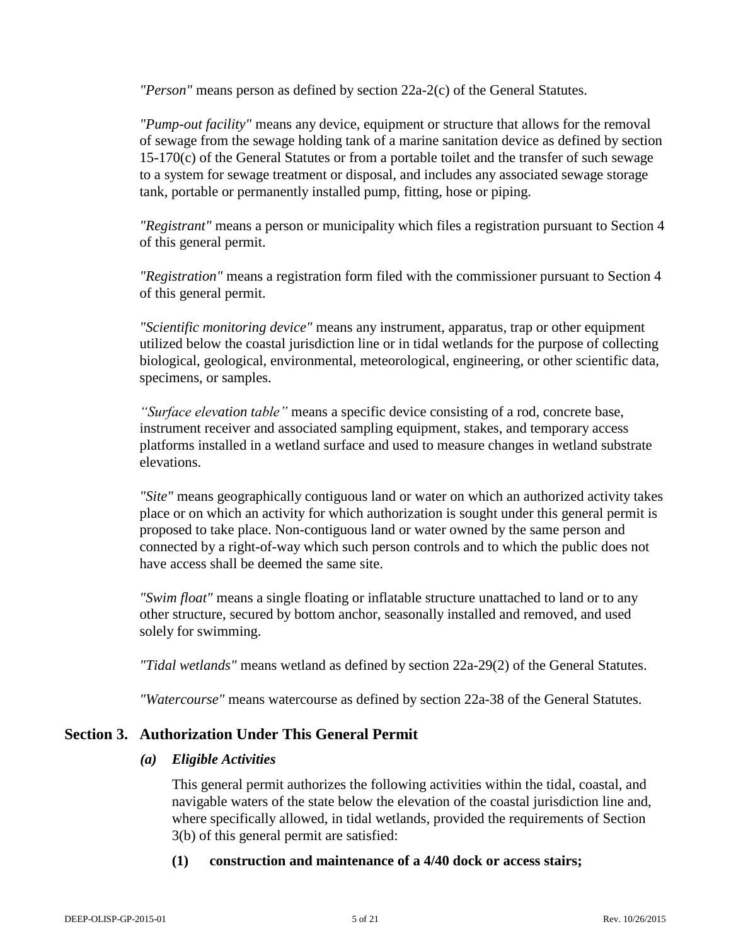*"Person"* means person as defined by section 22a-2(c) of the General Statutes.

*"Pump-out facility"* means any device, equipment or structure that allows for the removal of sewage from the sewage holding tank of a marine sanitation device as defined by section 15-170(c) of the General Statutes or from a portable toilet and the transfer of such sewage to a system for sewage treatment or disposal, and includes any associated sewage storage tank, portable or permanently installed pump, fitting, hose or piping.

*"Registrant"* means a person or municipality which files a registration pursuant to Section 4 of this general permit.

*"Registration"* means a registration form filed with the commissioner pursuant to Section 4 of this general permit.

*"Scientific monitoring device"* means any instrument, apparatus, trap or other equipment utilized below the coastal jurisdiction line or in tidal wetlands for the purpose of collecting biological, geological, environmental, meteorological, engineering, or other scientific data, specimens, or samples.

*"Surface elevation table"* means a specific device consisting of a rod, concrete base, instrument receiver and associated sampling equipment, stakes, and temporary access platforms installed in a wetland surface and used to measure changes in wetland substrate elevations.

*"Site"* means geographically contiguous land or water on which an authorized activity takes place or on which an activity for which authorization is sought under this general permit is proposed to take place. Non-contiguous land or water owned by the same person and connected by a right-of-way which such person controls and to which the public does not have access shall be deemed the same site.

*"Swim float"* means a single floating or inflatable structure unattached to land or to any other structure, secured by bottom anchor, seasonally installed and removed, and used solely for swimming.

*"Tidal wetlands"* means wetland as defined by section 22a-29(2) of the General Statutes.

*"Watercourse"* means watercourse as defined by section 22a-38 of the General Statutes.

## **Section 3. Authorization Under This General Permit**

## *(a) Eligible Activities*

This general permit authorizes the following activities within the tidal, coastal, and navigable waters of the state below the elevation of the coastal jurisdiction line and, where specifically allowed, in tidal wetlands, provided the requirements of Section 3(b) of this general permit are satisfied:

## **(1) construction and maintenance of a 4/40 dock or access stairs;**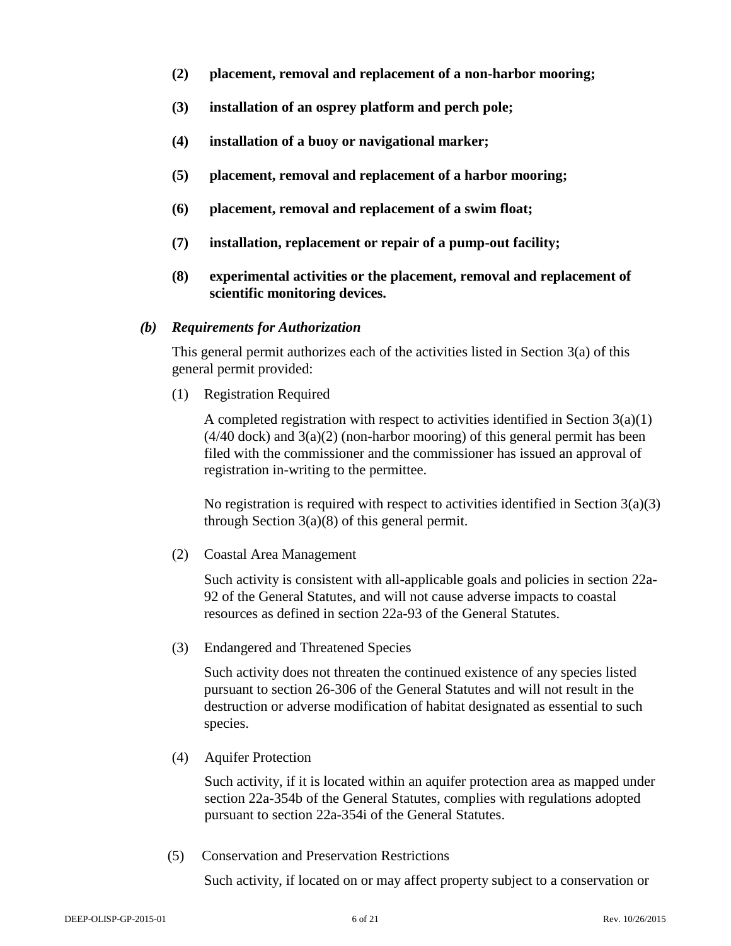- **(2) placement, removal and replacement of a non-harbor mooring;**
- **(3) installation of an osprey platform and perch pole;**
- **(4) installation of a buoy or navigational marker;**
- **(5) placement, removal and replacement of a harbor mooring;**
- **(6) placement, removal and replacement of a swim float;**
- **(7) installation, replacement or repair of a pump-out facility;**
- **(8) experimental activities or the placement, removal and replacement of scientific monitoring devices.**

#### *(b) Requirements for Authorization*

This general permit authorizes each of the activities listed in Section  $3(a)$  of this general permit provided:

(1) Registration Required

A completed registration with respect to activities identified in Section  $3(a)(1)$  $(4/40 \text{ dock})$  and  $3(a)(2)$  (non-harbor mooring) of this general permit has been filed with the commissioner and the commissioner has issued an approval of registration in-writing to the permittee.

No registration is required with respect to activities identified in Section  $3(a)(3)$ through Section 3(a)(8) of this general permit.

(2) Coastal Area Management

Such activity is consistent with all-applicable goals and policies in section 22a-92 of the General Statutes, and will not cause adverse impacts to coastal resources as defined in section 22a-93 of the General Statutes.

(3) Endangered and Threatened Species

Such activity does not threaten the continued existence of any species listed pursuant to section 26-306 of the General Statutes and will not result in the destruction or adverse modification of habitat designated as essential to such species.

(4) Aquifer Protection

Such activity, if it is located within an aquifer protection area as mapped under section 22a-354b of the General Statutes, complies with regulations adopted pursuant to section 22a-354i of the General Statutes.

(5) Conservation and Preservation Restrictions

Such activity, if located on or may affect property subject to a conservation or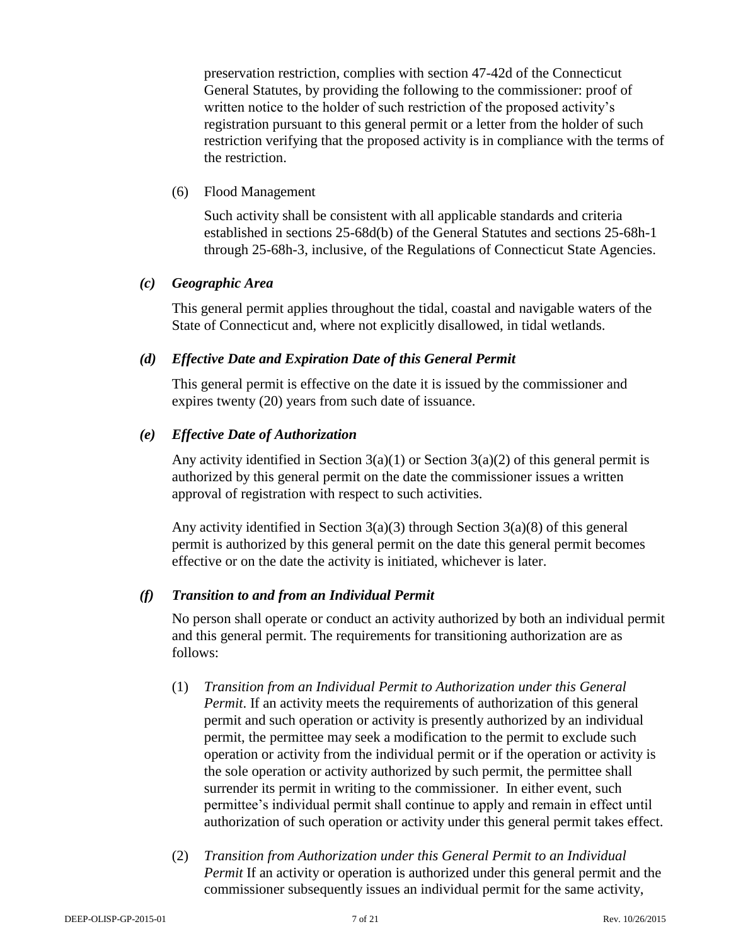preservation restriction, complies with section 47-42d of the Connecticut General Statutes, by providing the following to the commissioner: proof of written notice to the holder of such restriction of the proposed activity's registration pursuant to this general permit or a letter from the holder of such restriction verifying that the proposed activity is in compliance with the terms of the restriction.

### (6) Flood Management

Such activity shall be consistent with all applicable standards and criteria established in sections 25-68d(b) of the General Statutes and sections 25-68h-1 through 25-68h-3, inclusive, of the Regulations of Connecticut State Agencies.

## *(c) Geographic Area*

This general permit applies throughout the tidal, coastal and navigable waters of the State of Connecticut and, where not explicitly disallowed, in tidal wetlands.

## *(d) Effective Date and Expiration Date of this General Permit*

This general permit is effective on the date it is issued by the commissioner and expires twenty (20) years from such date of issuance.

### *(e) Effective Date of Authorization*

Any activity identified in Section  $3(a)(1)$  or Section  $3(a)(2)$  of this general permit is authorized by this general permit on the date the commissioner issues a written approval of registration with respect to such activities.

Any activity identified in Section 3(a)(3) through Section 3(a)(8) of this general permit is authorized by this general permit on the date this general permit becomes effective or on the date the activity is initiated, whichever is later.

## *(f) Transition to and from an Individual Permit*

No person shall operate or conduct an activity authorized by both an individual permit and this general permit. The requirements for transitioning authorization are as follows:

- (1) *Transition from an Individual Permit to Authorization under this General Permit*. If an activity meets the requirements of authorization of this general permit and such operation or activity is presently authorized by an individual permit, the permittee may seek a modification to the permit to exclude such operation or activity from the individual permit or if the operation or activity is the sole operation or activity authorized by such permit, the permittee shall surrender its permit in writing to the commissioner. In either event, such permittee's individual permit shall continue to apply and remain in effect until authorization of such operation or activity under this general permit takes effect.
- (2) *Transition from Authorization under this General Permit to an Individual Permit* If an activity or operation is authorized under this general permit and the commissioner subsequently issues an individual permit for the same activity,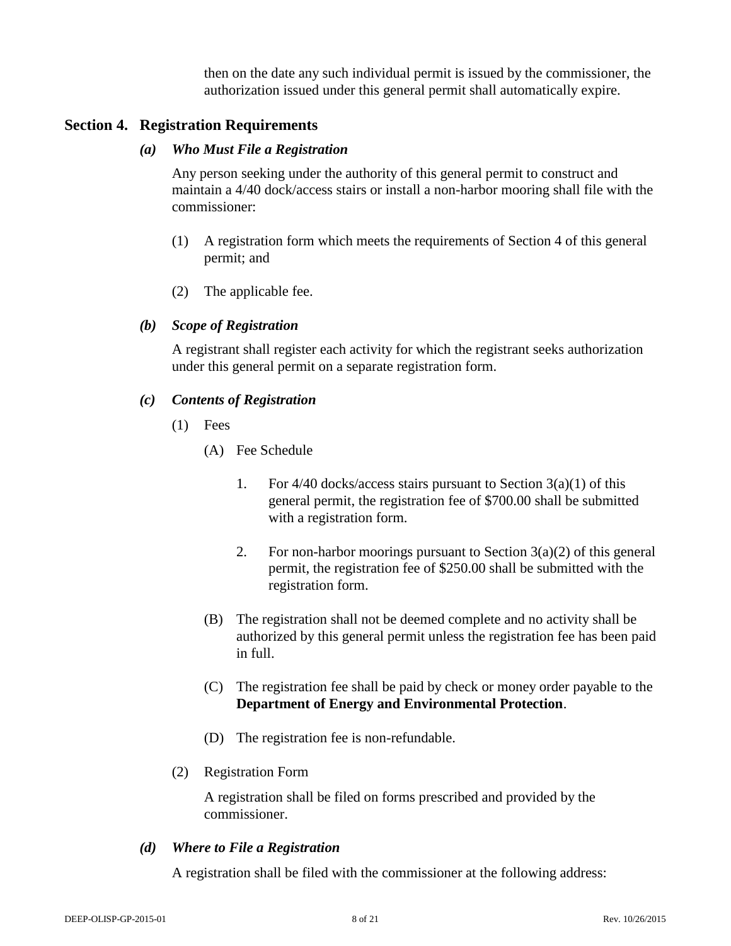then on the date any such individual permit is issued by the commissioner, the authorization issued under this general permit shall automatically expire.

## **Section 4. Registration Requirements**

### *(a) Who Must File a Registration*

Any person seeking under the authority of this general permit to construct and maintain a 4/40 dock/access stairs or install a non-harbor mooring shall file with the commissioner:

- (1) A registration form which meets the requirements of Section 4 of this general permit; and
- (2) The applicable fee.

## *(b) Scope of Registration*

A registrant shall register each activity for which the registrant seeks authorization under this general permit on a separate registration form.

## *(c) Contents of Registration*

- (1) Fees
	- (A) Fee Schedule
		- 1. For  $4/40$  docks/access stairs pursuant to Section  $3(a)(1)$  of this general permit, the registration fee of \$700.00 shall be submitted with a registration form.
		- 2. For non-harbor moorings pursuant to Section  $3(a)(2)$  of this general permit, the registration fee of \$250.00 shall be submitted with the registration form.
	- (B) The registration shall not be deemed complete and no activity shall be authorized by this general permit unless the registration fee has been paid in full.
	- (C) The registration fee shall be paid by check or money order payable to the **Department of Energy and Environmental Protection**.
	- (D) The registration fee is non-refundable.
- (2) Registration Form

A registration shall be filed on forms prescribed and provided by the commissioner.

## *(d) Where to File a Registration*

A registration shall be filed with the commissioner at the following address: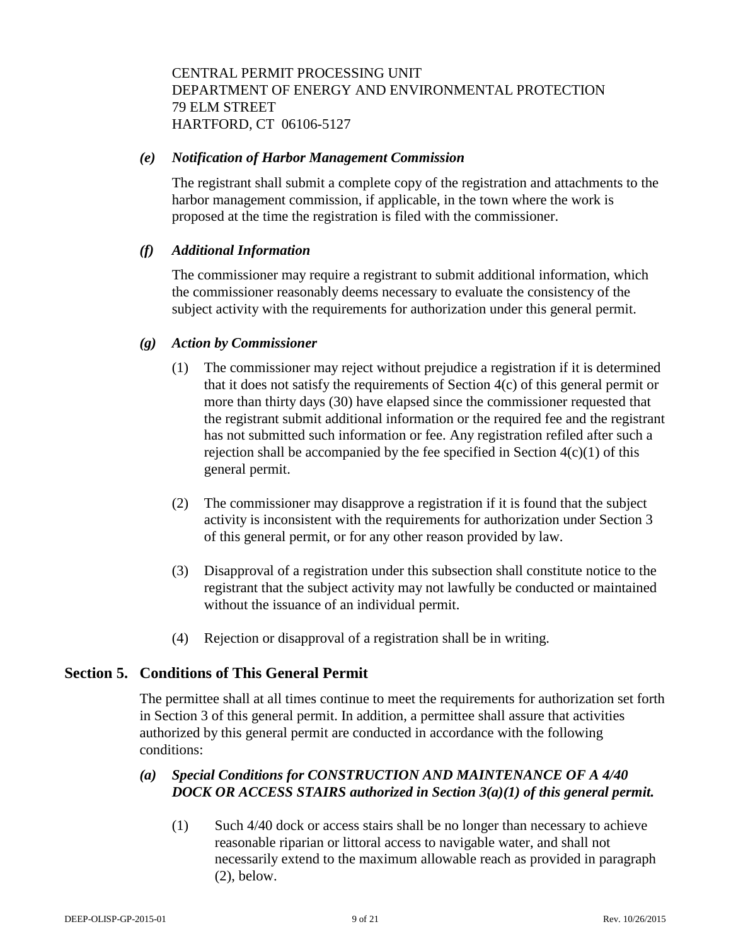CENTRAL PERMIT PROCESSING UNIT DEPARTMENT OF ENERGY AND ENVIRONMENTAL PROTECTION 79 ELM STREET HARTFORD, CT 06106-5127

#### *(e) Notification of Harbor Management Commission*

The registrant shall submit a complete copy of the registration and attachments to the harbor management commission, if applicable, in the town where the work is proposed at the time the registration is filed with the commissioner.

## *(f) Additional Information*

The commissioner may require a registrant to submit additional information, which the commissioner reasonably deems necessary to evaluate the consistency of the subject activity with the requirements for authorization under this general permit.

### *(g) Action by Commissioner*

- (1) The commissioner may reject without prejudice a registration if it is determined that it does not satisfy the requirements of Section 4(c) of this general permit or more than thirty days (30) have elapsed since the commissioner requested that the registrant submit additional information or the required fee and the registrant has not submitted such information or fee. Any registration refiled after such a rejection shall be accompanied by the fee specified in Section  $4(c)(1)$  of this general permit.
- (2) The commissioner may disapprove a registration if it is found that the subject activity is inconsistent with the requirements for authorization under Section 3 of this general permit, or for any other reason provided by law.
- (3) Disapproval of a registration under this subsection shall constitute notice to the registrant that the subject activity may not lawfully be conducted or maintained without the issuance of an individual permit.
- (4) Rejection or disapproval of a registration shall be in writing.

## **Section 5. Conditions of This General Permit**

The permittee shall at all times continue to meet the requirements for authorization set forth in Section 3 of this general permit. In addition, a permittee shall assure that activities authorized by this general permit are conducted in accordance with the following conditions:

## *(a) Special Conditions for CONSTRUCTION AND MAINTENANCE OF A 4/40 DOCK OR ACCESS STAIRS authorized in Section 3(a)(1) of this general permit.*

(1) Such 4/40 dock or access stairs shall be no longer than necessary to achieve reasonable riparian or littoral access to navigable water, and shall not necessarily extend to the maximum allowable reach as provided in paragraph (2), below.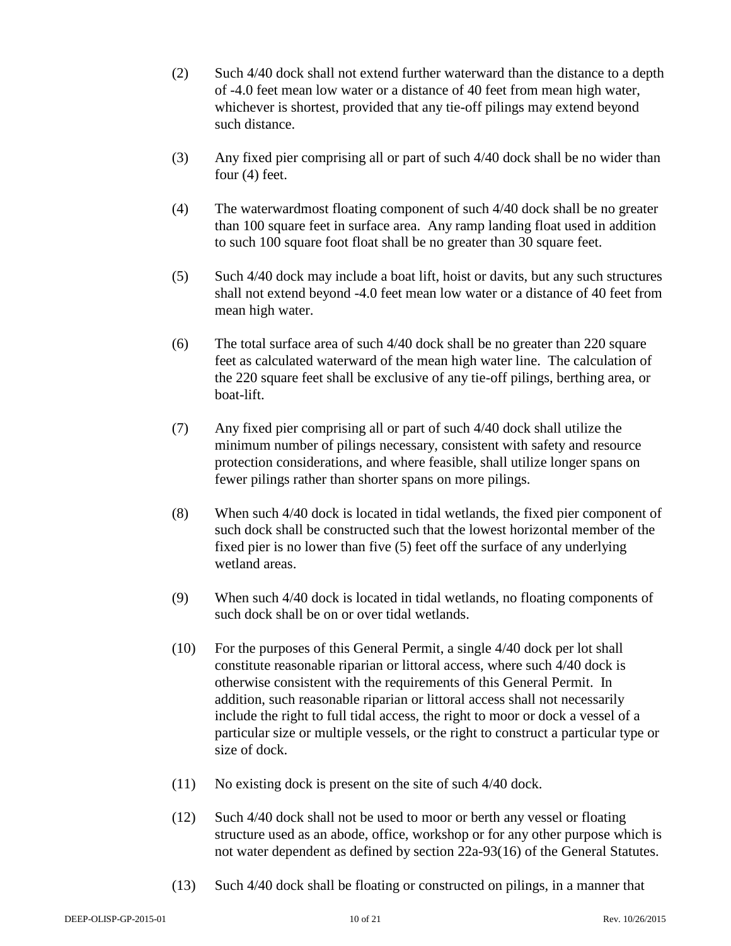- (2) Such 4/40 dock shall not extend further waterward than the distance to a depth of -4.0 feet mean low water or a distance of 40 feet from mean high water, whichever is shortest, provided that any tie-off pilings may extend beyond such distance.
- (3) Any fixed pier comprising all or part of such 4/40 dock shall be no wider than four (4) feet.
- (4) The waterwardmost floating component of such 4/40 dock shall be no greater than 100 square feet in surface area. Any ramp landing float used in addition to such 100 square foot float shall be no greater than 30 square feet.
- (5) Such 4/40 dock may include a boat lift, hoist or davits, but any such structures shall not extend beyond -4.0 feet mean low water or a distance of 40 feet from mean high water.
- (6) The total surface area of such 4/40 dock shall be no greater than 220 square feet as calculated waterward of the mean high water line. The calculation of the 220 square feet shall be exclusive of any tie-off pilings, berthing area, or boat-lift.
- (7) Any fixed pier comprising all or part of such 4/40 dock shall utilize the minimum number of pilings necessary, consistent with safety and resource protection considerations, and where feasible, shall utilize longer spans on fewer pilings rather than shorter spans on more pilings.
- (8) When such 4/40 dock is located in tidal wetlands, the fixed pier component of such dock shall be constructed such that the lowest horizontal member of the fixed pier is no lower than five (5) feet off the surface of any underlying wetland areas.
- (9) When such 4/40 dock is located in tidal wetlands, no floating components of such dock shall be on or over tidal wetlands.
- (10) For the purposes of this General Permit, a single 4/40 dock per lot shall constitute reasonable riparian or littoral access, where such 4/40 dock is otherwise consistent with the requirements of this General Permit. In addition, such reasonable riparian or littoral access shall not necessarily include the right to full tidal access, the right to moor or dock a vessel of a particular size or multiple vessels, or the right to construct a particular type or size of dock.
- (11) No existing dock is present on the site of such 4/40 dock.
- (12) Such 4/40 dock shall not be used to moor or berth any vessel or floating structure used as an abode, office, workshop or for any other purpose which is not water dependent as defined by section 22a-93(16) of the General Statutes.
- (13) Such 4/40 dock shall be floating or constructed on pilings, in a manner that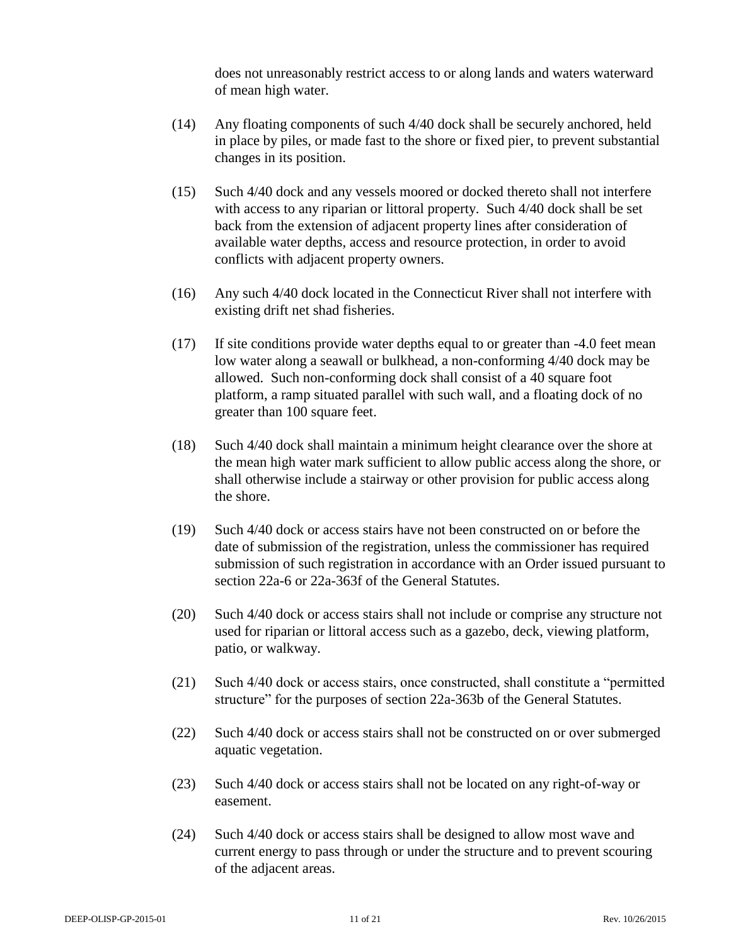does not unreasonably restrict access to or along lands and waters waterward of mean high water.

- (14) Any floating components of such 4/40 dock shall be securely anchored, held in place by piles, or made fast to the shore or fixed pier, to prevent substantial changes in its position.
- (15) Such 4/40 dock and any vessels moored or docked thereto shall not interfere with access to any riparian or littoral property. Such 4/40 dock shall be set back from the extension of adjacent property lines after consideration of available water depths, access and resource protection, in order to avoid conflicts with adjacent property owners.
- (16) Any such 4/40 dock located in the Connecticut River shall not interfere with existing drift net shad fisheries.
- (17) If site conditions provide water depths equal to or greater than -4.0 feet mean low water along a seawall or bulkhead, a non-conforming 4/40 dock may be allowed. Such non-conforming dock shall consist of a 40 square foot platform, a ramp situated parallel with such wall, and a floating dock of no greater than 100 square feet.
- (18) Such 4/40 dock shall maintain a minimum height clearance over the shore at the mean high water mark sufficient to allow public access along the shore, or shall otherwise include a stairway or other provision for public access along the shore.
- (19) Such 4/40 dock or access stairs have not been constructed on or before the date of submission of the registration, unless the commissioner has required submission of such registration in accordance with an Order issued pursuant to section 22a-6 or 22a-363f of the General Statutes.
- (20) Such 4/40 dock or access stairs shall not include or comprise any structure not used for riparian or littoral access such as a gazebo, deck, viewing platform, patio, or walkway.
- (21) Such 4/40 dock or access stairs, once constructed, shall constitute a "permitted structure" for the purposes of section 22a-363b of the General Statutes.
- (22) Such 4/40 dock or access stairs shall not be constructed on or over submerged aquatic vegetation.
- (23) Such 4/40 dock or access stairs shall not be located on any right-of-way or easement.
- (24) Such 4/40 dock or access stairs shall be designed to allow most wave and current energy to pass through or under the structure and to prevent scouring of the adjacent areas.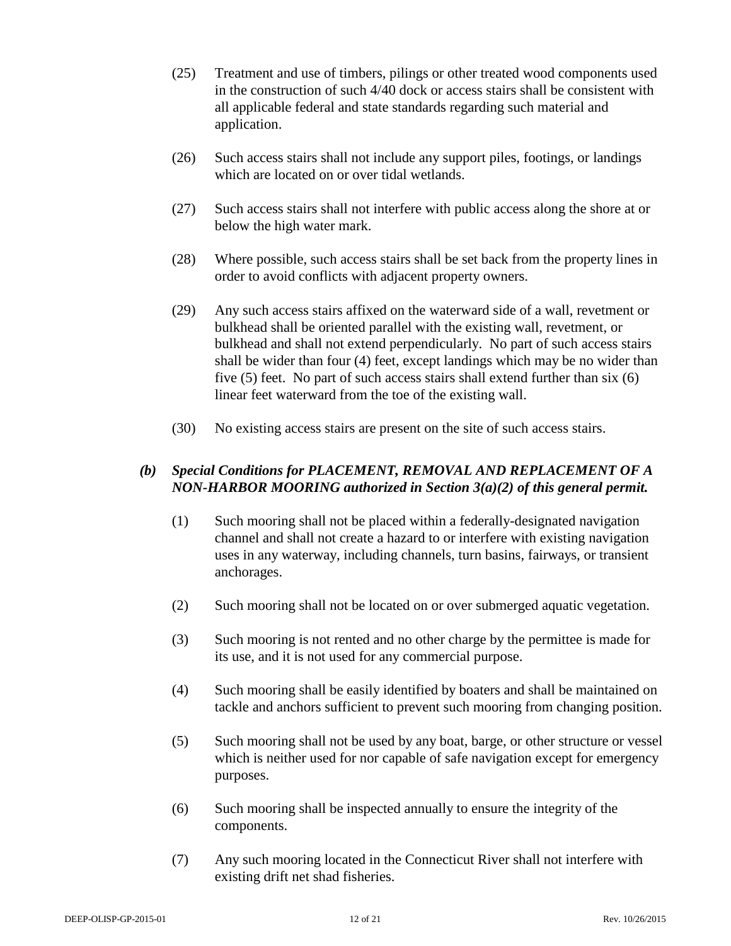- (25) Treatment and use of timbers, pilings or other treated wood components used in the construction of such 4/40 dock or access stairs shall be consistent with all applicable federal and state standards regarding such material and application.
- (26) Such access stairs shall not include any support piles, footings, or landings which are located on or over tidal wetlands.
- (27) Such access stairs shall not interfere with public access along the shore at or below the high water mark.
- (28) Where possible, such access stairs shall be set back from the property lines in order to avoid conflicts with adjacent property owners.
- (29) Any such access stairs affixed on the waterward side of a wall, revetment or bulkhead shall be oriented parallel with the existing wall, revetment, or bulkhead and shall not extend perpendicularly. No part of such access stairs shall be wider than four (4) feet, except landings which may be no wider than five (5) feet. No part of such access stairs shall extend further than six (6) linear feet waterward from the toe of the existing wall.
- (30) No existing access stairs are present on the site of such access stairs.

## *(b) Special Conditions for PLACEMENT, REMOVAL AND REPLACEMENT OF A NON-HARBOR MOORING authorized in Section 3(a)(2) of this general permit.*

- (1) Such mooring shall not be placed within a federally-designated navigation channel and shall not create a hazard to or interfere with existing navigation uses in any waterway, including channels, turn basins, fairways, or transient anchorages.
- (2) Such mooring shall not be located on or over submerged aquatic vegetation.
- (3) Such mooring is not rented and no other charge by the permittee is made for its use, and it is not used for any commercial purpose.
- (4) Such mooring shall be easily identified by boaters and shall be maintained on tackle and anchors sufficient to prevent such mooring from changing position.
- (5) Such mooring shall not be used by any boat, barge, or other structure or vessel which is neither used for nor capable of safe navigation except for emergency purposes.
- (6) Such mooring shall be inspected annually to ensure the integrity of the components.
- (7) Any such mooring located in the Connecticut River shall not interfere with existing drift net shad fisheries.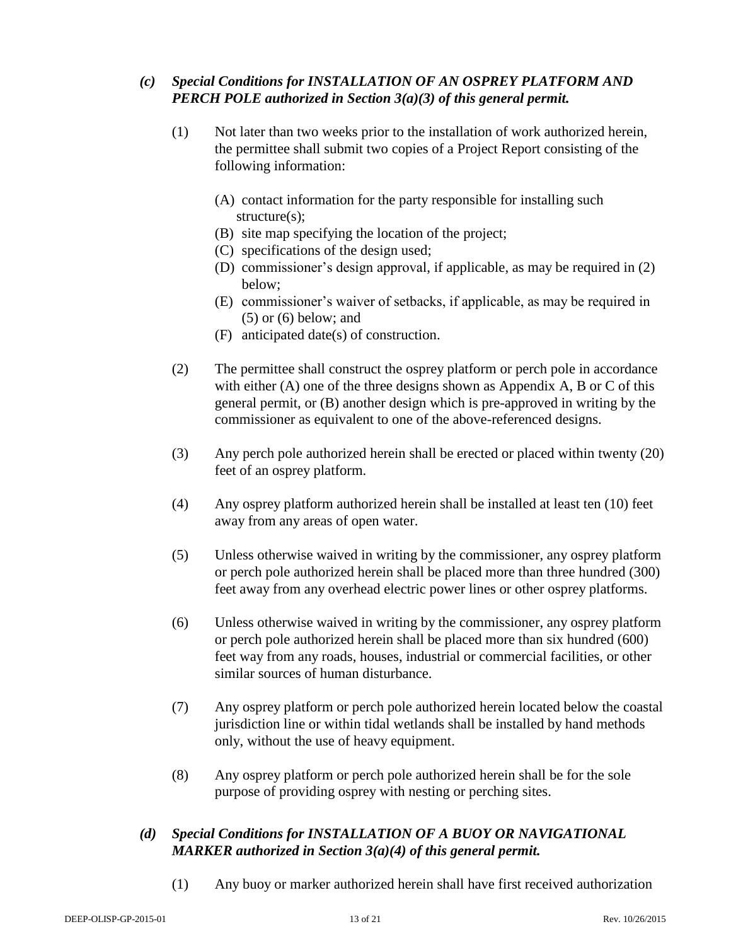## *(c) Special Conditions for INSTALLATION OF AN OSPREY PLATFORM AND PERCH POLE authorized in Section 3(a)(3) of this general permit.*

- (1) Not later than two weeks prior to the installation of work authorized herein, the permittee shall submit two copies of a Project Report consisting of the following information:
	- (A) contact information for the party responsible for installing such structure(s);
	- (B) site map specifying the location of the project;
	- (C) specifications of the design used;
	- (D) commissioner's design approval, if applicable, as may be required in (2) below;
	- (E) commissioner's waiver of setbacks, if applicable, as may be required in (5) or (6) below; and
	- (F) anticipated date(s) of construction.
- (2) The permittee shall construct the osprey platform or perch pole in accordance with either (A) one of the three designs shown as Appendix A, B or C of this general permit, or (B) another design which is pre-approved in writing by the commissioner as equivalent to one of the above-referenced designs.
- (3) Any perch pole authorized herein shall be erected or placed within twenty (20) feet of an osprey platform.
- (4) Any osprey platform authorized herein shall be installed at least ten (10) feet away from any areas of open water.
- (5) Unless otherwise waived in writing by the commissioner, any osprey platform or perch pole authorized herein shall be placed more than three hundred (300) feet away from any overhead electric power lines or other osprey platforms.
- (6) Unless otherwise waived in writing by the commissioner, any osprey platform or perch pole authorized herein shall be placed more than six hundred (600) feet way from any roads, houses, industrial or commercial facilities, or other similar sources of human disturbance.
- (7) Any osprey platform or perch pole authorized herein located below the coastal jurisdiction line or within tidal wetlands shall be installed by hand methods only, without the use of heavy equipment.
- (8) Any osprey platform or perch pole authorized herein shall be for the sole purpose of providing osprey with nesting or perching sites.

## *(d) Special Conditions for INSTALLATION OF A BUOY OR NAVIGATIONAL MARKER authorized in Section 3(a)(4) of this general permit.*

(1) Any buoy or marker authorized herein shall have first received authorization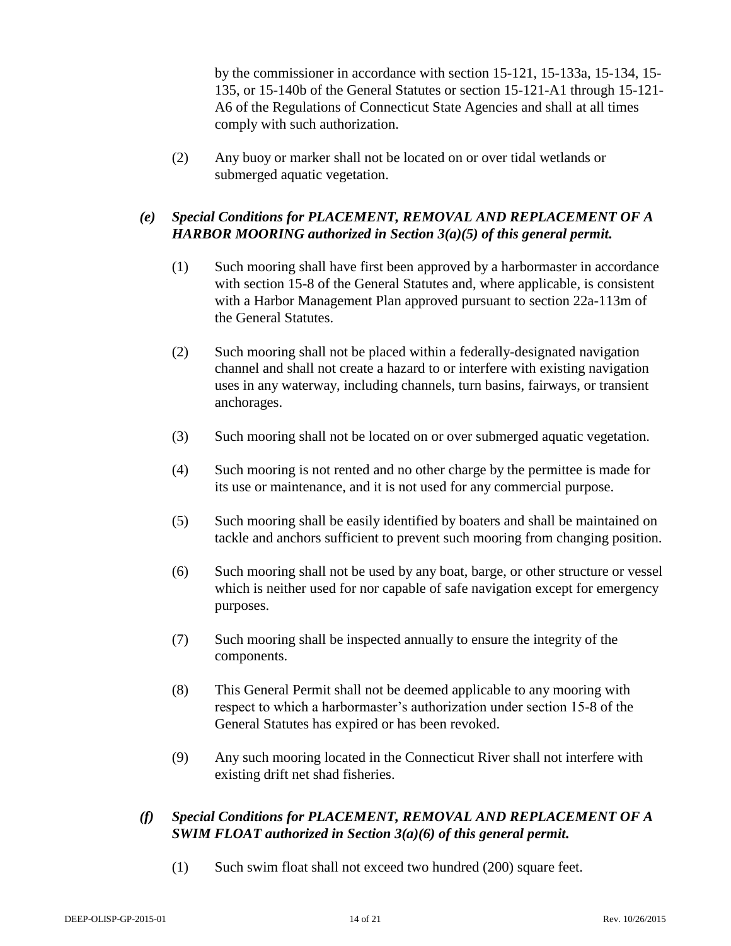by the commissioner in accordance with section 15-121, 15-133a, 15-134, 15- 135, or 15-140b of the General Statutes or section 15-121-A1 through 15-121- A6 of the Regulations of Connecticut State Agencies and shall at all times comply with such authorization.

(2) Any buoy or marker shall not be located on or over tidal wetlands or submerged aquatic vegetation.

## *(e) Special Conditions for PLACEMENT, REMOVAL AND REPLACEMENT OF A HARBOR MOORING authorized in Section 3(a)(5) of this general permit.*

- (1) Such mooring shall have first been approved by a harbormaster in accordance with section 15-8 of the General Statutes and, where applicable, is consistent with a Harbor Management Plan approved pursuant to section 22a-113m of the General Statutes.
- (2) Such mooring shall not be placed within a federally-designated navigation channel and shall not create a hazard to or interfere with existing navigation uses in any waterway, including channels, turn basins, fairways, or transient anchorages.
- (3) Such mooring shall not be located on or over submerged aquatic vegetation.
- (4) Such mooring is not rented and no other charge by the permittee is made for its use or maintenance, and it is not used for any commercial purpose.
- (5) Such mooring shall be easily identified by boaters and shall be maintained on tackle and anchors sufficient to prevent such mooring from changing position.
- (6) Such mooring shall not be used by any boat, barge, or other structure or vessel which is neither used for nor capable of safe navigation except for emergency purposes.
- (7) Such mooring shall be inspected annually to ensure the integrity of the components.
- (8) This General Permit shall not be deemed applicable to any mooring with respect to which a harbormaster's authorization under section 15-8 of the General Statutes has expired or has been revoked.
- (9) Any such mooring located in the Connecticut River shall not interfere with existing drift net shad fisheries.

## *(f) Special Conditions for PLACEMENT, REMOVAL AND REPLACEMENT OF A SWIM FLOAT authorized in Section 3(a)(6) of this general permit.*

(1) Such swim float shall not exceed two hundred (200) square feet.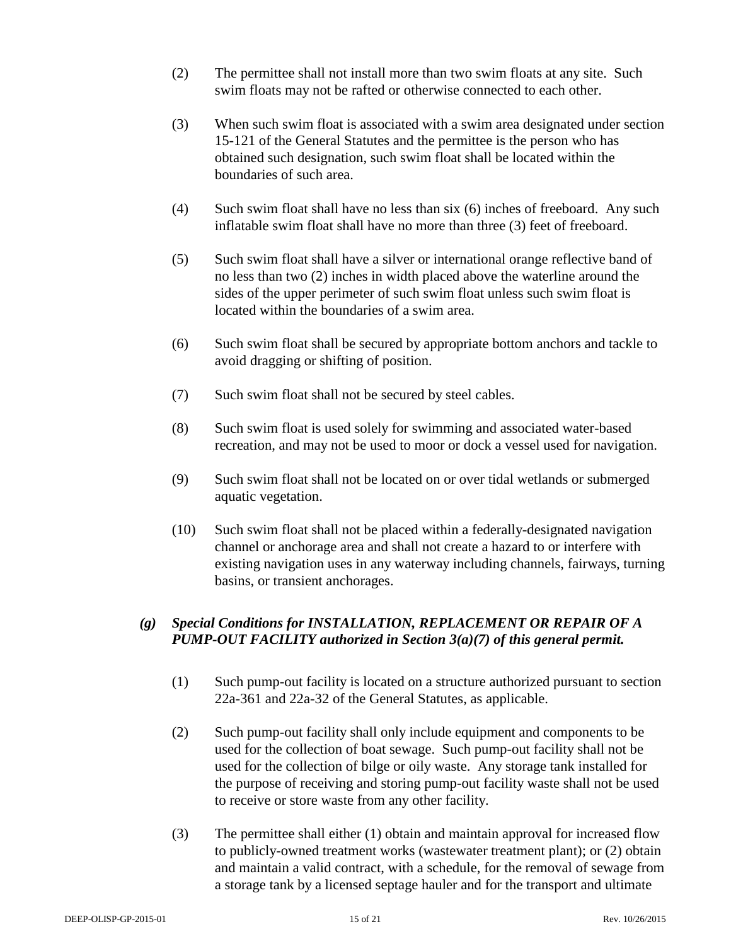- (2) The permittee shall not install more than two swim floats at any site. Such swim floats may not be rafted or otherwise connected to each other.
- (3) When such swim float is associated with a swim area designated under section 15-121 of the General Statutes and the permittee is the person who has obtained such designation, such swim float shall be located within the boundaries of such area.
- (4) Such swim float shall have no less than six (6) inches of freeboard. Any such inflatable swim float shall have no more than three (3) feet of freeboard.
- (5) Such swim float shall have a silver or international orange reflective band of no less than two (2) inches in width placed above the waterline around the sides of the upper perimeter of such swim float unless such swim float is located within the boundaries of a swim area.
- (6) Such swim float shall be secured by appropriate bottom anchors and tackle to avoid dragging or shifting of position.
- (7) Such swim float shall not be secured by steel cables.
- (8) Such swim float is used solely for swimming and associated water-based recreation, and may not be used to moor or dock a vessel used for navigation.
- (9) Such swim float shall not be located on or over tidal wetlands or submerged aquatic vegetation.
- (10) Such swim float shall not be placed within a federally-designated navigation channel or anchorage area and shall not create a hazard to or interfere with existing navigation uses in any waterway including channels, fairways, turning basins, or transient anchorages.

## *(g) Special Conditions for INSTALLATION, REPLACEMENT OR REPAIR OF A PUMP-OUT FACILITY authorized in Section 3(a)(7) of this general permit.*

- (1) Such pump-out facility is located on a structure authorized pursuant to section 22a-361 and 22a-32 of the General Statutes, as applicable.
- (2) Such pump-out facility shall only include equipment and components to be used for the collection of boat sewage. Such pump-out facility shall not be used for the collection of bilge or oily waste. Any storage tank installed for the purpose of receiving and storing pump-out facility waste shall not be used to receive or store waste from any other facility.
- (3) The permittee shall either (1) obtain and maintain approval for increased flow to publicly-owned treatment works (wastewater treatment plant); or (2) obtain and maintain a valid contract, with a schedule, for the removal of sewage from a storage tank by a licensed septage hauler and for the transport and ultimate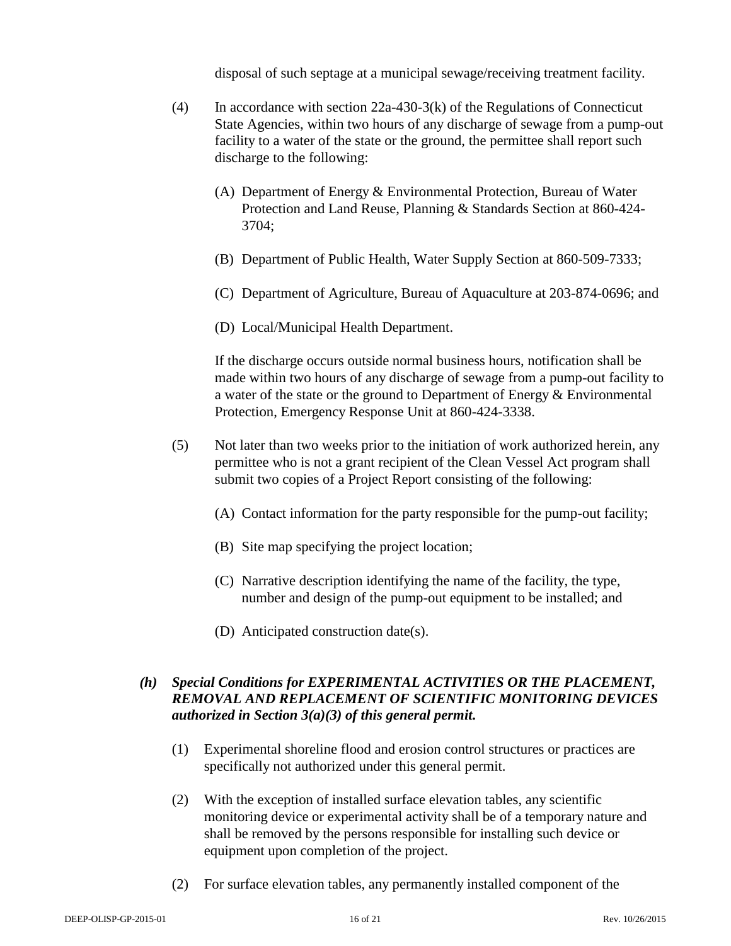disposal of such septage at a municipal sewage/receiving treatment facility.

- (4) In accordance with section 22a-430-3(k) of the Regulations of Connecticut State Agencies, within two hours of any discharge of sewage from a pump-out facility to a water of the state or the ground, the permittee shall report such discharge to the following:
	- (A) Department of Energy & Environmental Protection, Bureau of Water Protection and Land Reuse, Planning & Standards Section at 860-424- 3704;
	- (B) Department of Public Health, Water Supply Section at 860-509-7333;
	- (C) Department of Agriculture, Bureau of Aquaculture at 203-874-0696; and
	- (D) Local/Municipal Health Department.

If the discharge occurs outside normal business hours, notification shall be made within two hours of any discharge of sewage from a pump-out facility to a water of the state or the ground to Department of Energy & Environmental Protection, Emergency Response Unit at 860-424-3338.

- (5) Not later than two weeks prior to the initiation of work authorized herein, any permittee who is not a grant recipient of the Clean Vessel Act program shall submit two copies of a Project Report consisting of the following:
	- (A) Contact information for the party responsible for the pump-out facility;
	- (B) Site map specifying the project location;
	- (C) Narrative description identifying the name of the facility, the type, number and design of the pump-out equipment to be installed; and
	- (D) Anticipated construction date(s).

## *(h) Special Conditions for EXPERIMENTAL ACTIVITIES OR THE PLACEMENT, REMOVAL AND REPLACEMENT OF SCIENTIFIC MONITORING DEVICES authorized in Section 3(a)(3) of this general permit.*

- (1) Experimental shoreline flood and erosion control structures or practices are specifically not authorized under this general permit.
- (2) With the exception of installed surface elevation tables, any scientific monitoring device or experimental activity shall be of a temporary nature and shall be removed by the persons responsible for installing such device or equipment upon completion of the project.
- (2) For surface elevation tables, any permanently installed component of the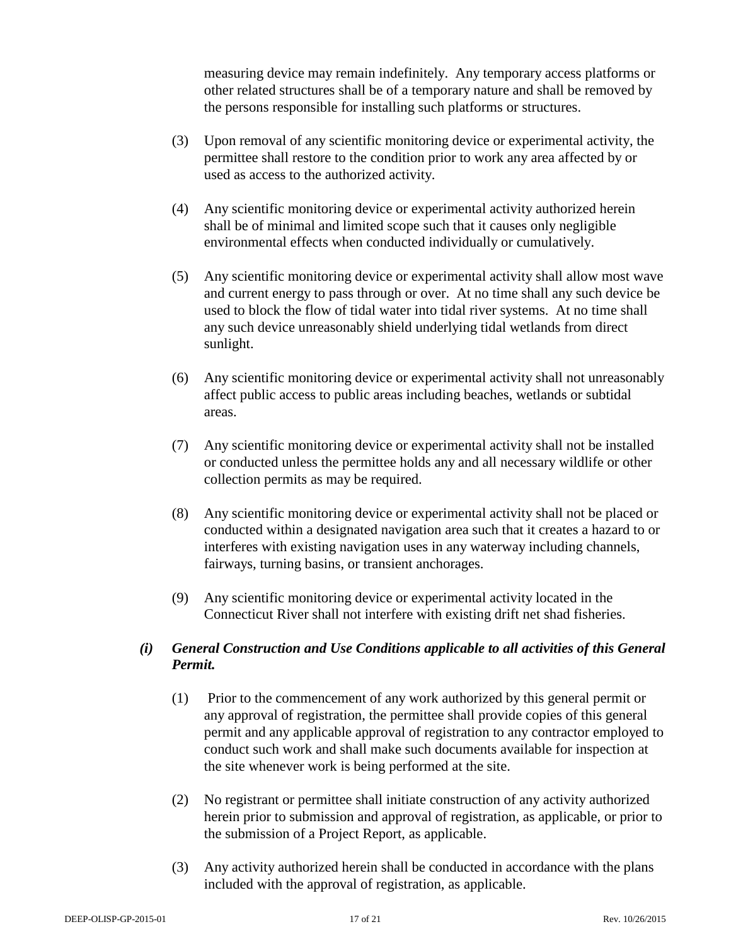measuring device may remain indefinitely. Any temporary access platforms or other related structures shall be of a temporary nature and shall be removed by the persons responsible for installing such platforms or structures.

- (3) Upon removal of any scientific monitoring device or experimental activity, the permittee shall restore to the condition prior to work any area affected by or used as access to the authorized activity.
- (4) Any scientific monitoring device or experimental activity authorized herein shall be of minimal and limited scope such that it causes only negligible environmental effects when conducted individually or cumulatively.
- (5) Any scientific monitoring device or experimental activity shall allow most wave and current energy to pass through or over. At no time shall any such device be used to block the flow of tidal water into tidal river systems. At no time shall any such device unreasonably shield underlying tidal wetlands from direct sunlight.
- (6) Any scientific monitoring device or experimental activity shall not unreasonably affect public access to public areas including beaches, wetlands or subtidal areas.
- (7) Any scientific monitoring device or experimental activity shall not be installed or conducted unless the permittee holds any and all necessary wildlife or other collection permits as may be required.
- (8) Any scientific monitoring device or experimental activity shall not be placed or conducted within a designated navigation area such that it creates a hazard to or interferes with existing navigation uses in any waterway including channels, fairways, turning basins, or transient anchorages.
- (9) Any scientific monitoring device or experimental activity located in the Connecticut River shall not interfere with existing drift net shad fisheries.

## *(i) General Construction and Use Conditions applicable to all activities of this General Permit.*

- (1) Prior to the commencement of any work authorized by this general permit or any approval of registration, the permittee shall provide copies of this general permit and any applicable approval of registration to any contractor employed to conduct such work and shall make such documents available for inspection at the site whenever work is being performed at the site.
- (2) No registrant or permittee shall initiate construction of any activity authorized herein prior to submission and approval of registration, as applicable, or prior to the submission of a Project Report, as applicable.
- (3) Any activity authorized herein shall be conducted in accordance with the plans included with the approval of registration, as applicable.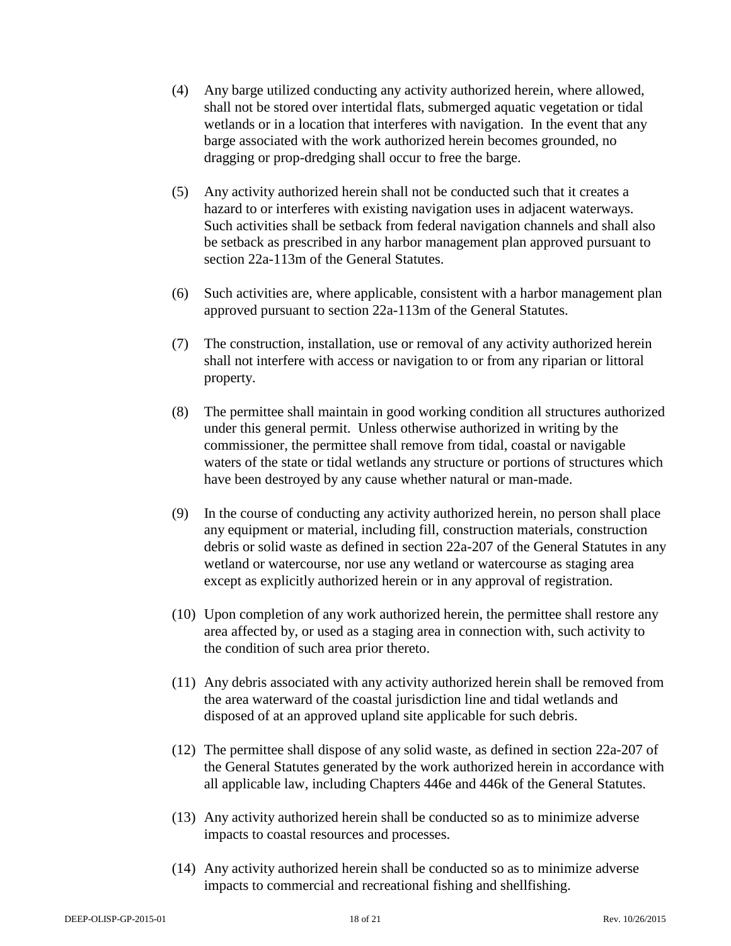- (4) Any barge utilized conducting any activity authorized herein, where allowed, shall not be stored over intertidal flats, submerged aquatic vegetation or tidal wetlands or in a location that interferes with navigation. In the event that any barge associated with the work authorized herein becomes grounded, no dragging or prop-dredging shall occur to free the barge.
- (5) Any activity authorized herein shall not be conducted such that it creates a hazard to or interferes with existing navigation uses in adjacent waterways. Such activities shall be setback from federal navigation channels and shall also be setback as prescribed in any harbor management plan approved pursuant to section 22a-113m of the General Statutes.
- (6) Such activities are, where applicable, consistent with a harbor management plan approved pursuant to section 22a-113m of the General Statutes.
- (7) The construction, installation, use or removal of any activity authorized herein shall not interfere with access or navigation to or from any riparian or littoral property.
- (8) The permittee shall maintain in good working condition all structures authorized under this general permit. Unless otherwise authorized in writing by the commissioner, the permittee shall remove from tidal, coastal or navigable waters of the state or tidal wetlands any structure or portions of structures which have been destroyed by any cause whether natural or man-made.
- (9) In the course of conducting any activity authorized herein, no person shall place any equipment or material, including fill, construction materials, construction debris or solid waste as defined in section 22a-207 of the General Statutes in any wetland or watercourse, nor use any wetland or watercourse as staging area except as explicitly authorized herein or in any approval of registration.
- (10) Upon completion of any work authorized herein, the permittee shall restore any area affected by, or used as a staging area in connection with, such activity to the condition of such area prior thereto.
- (11) Any debris associated with any activity authorized herein shall be removed from the area waterward of the coastal jurisdiction line and tidal wetlands and disposed of at an approved upland site applicable for such debris.
- (12) The permittee shall dispose of any solid waste, as defined in section 22a-207 of the General Statutes generated by the work authorized herein in accordance with all applicable law, including Chapters 446e and 446k of the General Statutes.
- (13) Any activity authorized herein shall be conducted so as to minimize adverse impacts to coastal resources and processes.
- (14) Any activity authorized herein shall be conducted so as to minimize adverse impacts to commercial and recreational fishing and shellfishing.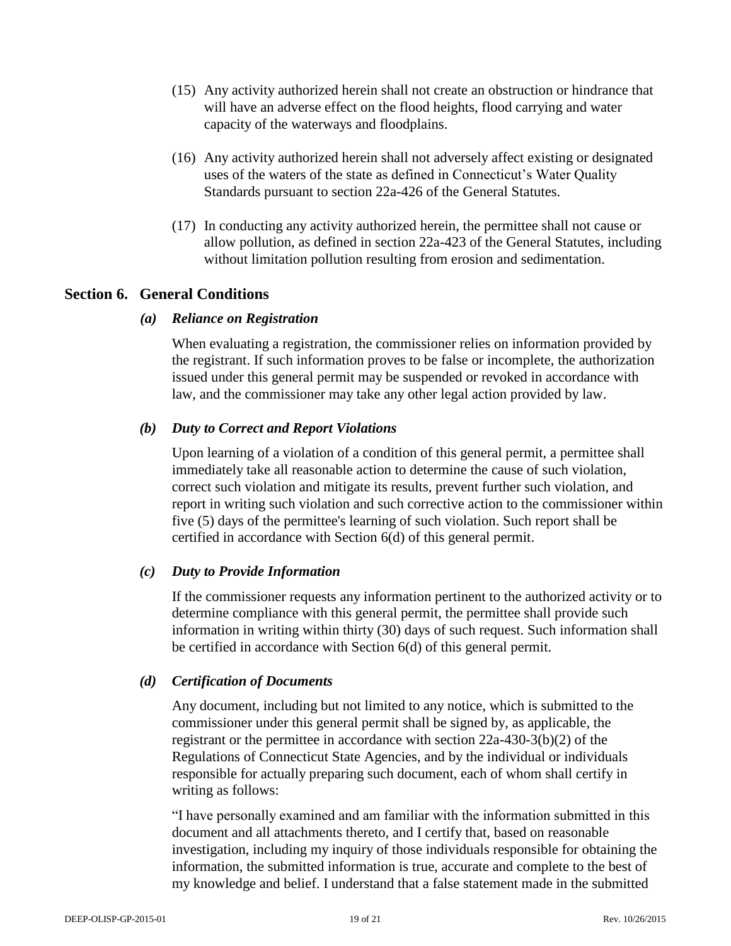- (15) Any activity authorized herein shall not create an obstruction or hindrance that will have an adverse effect on the flood heights, flood carrying and water capacity of the waterways and floodplains.
- (16) Any activity authorized herein shall not adversely affect existing or designated uses of the waters of the state as defined in Connecticut's Water Quality Standards pursuant to section 22a-426 of the General Statutes.
- (17) In conducting any activity authorized herein, the permittee shall not cause or allow pollution, as defined in section 22a-423 of the General Statutes, including without limitation pollution resulting from erosion and sedimentation.

## **Section 6. General Conditions**

## *(a) Reliance on Registration*

When evaluating a registration, the commissioner relies on information provided by the registrant. If such information proves to be false or incomplete, the authorization issued under this general permit may be suspended or revoked in accordance with law, and the commissioner may take any other legal action provided by law.

## *(b) Duty to Correct and Report Violations*

Upon learning of a violation of a condition of this general permit, a permittee shall immediately take all reasonable action to determine the cause of such violation, correct such violation and mitigate its results, prevent further such violation, and report in writing such violation and such corrective action to the commissioner within five (5) days of the permittee's learning of such violation. Such report shall be certified in accordance with Section 6(d) of this general permit.

#### *(c) Duty to Provide Information*

If the commissioner requests any information pertinent to the authorized activity or to determine compliance with this general permit, the permittee shall provide such information in writing within thirty (30) days of such request. Such information shall be certified in accordance with Section 6(d) of this general permit.

## *(d) Certification of Documents*

Any document, including but not limited to any notice, which is submitted to the commissioner under this general permit shall be signed by, as applicable, the registrant or the permittee in accordance with section 22a-430-3(b)(2) of the Regulations of Connecticut State Agencies, and by the individual or individuals responsible for actually preparing such document, each of whom shall certify in writing as follows:

"I have personally examined and am familiar with the information submitted in this document and all attachments thereto, and I certify that, based on reasonable investigation, including my inquiry of those individuals responsible for obtaining the information, the submitted information is true, accurate and complete to the best of my knowledge and belief. I understand that a false statement made in the submitted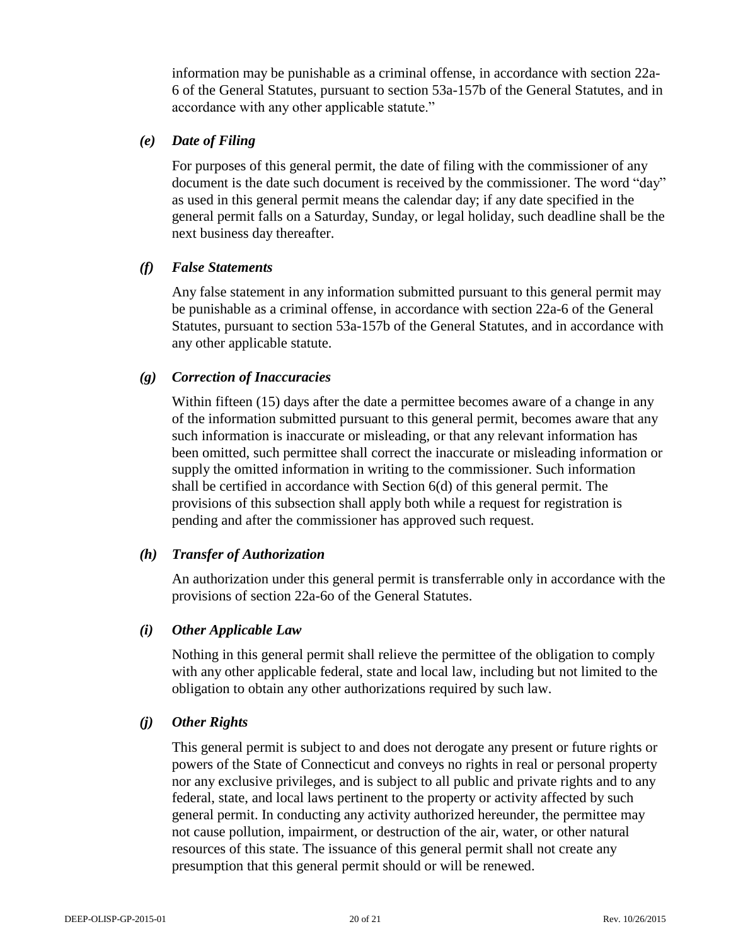information may be punishable as a criminal offense, in accordance with section 22a-6 of the General Statutes, pursuant to section 53a-157b of the General Statutes, and in accordance with any other applicable statute."

### *(e) Date of Filing*

For purposes of this general permit, the date of filing with the commissioner of any document is the date such document is received by the commissioner. The word "day" as used in this general permit means the calendar day; if any date specified in the general permit falls on a Saturday, Sunday, or legal holiday, such deadline shall be the next business day thereafter.

### *(f) False Statements*

Any false statement in any information submitted pursuant to this general permit may be punishable as a criminal offense, in accordance with section 22a-6 of the General Statutes, pursuant to section 53a-157b of the General Statutes, and in accordance with any other applicable statute.

### *(g) Correction of Inaccuracies*

Within fifteen (15) days after the date a permittee becomes aware of a change in any of the information submitted pursuant to this general permit, becomes aware that any such information is inaccurate or misleading, or that any relevant information has been omitted, such permittee shall correct the inaccurate or misleading information or supply the omitted information in writing to the commissioner. Such information shall be certified in accordance with Section 6(d) of this general permit. The provisions of this subsection shall apply both while a request for registration is pending and after the commissioner has approved such request.

## *(h) Transfer of Authorization*

An authorization under this general permit is transferrable only in accordance with the provisions of section 22a-6o of the General Statutes.

## *(i) Other Applicable Law*

Nothing in this general permit shall relieve the permittee of the obligation to comply with any other applicable federal, state and local law, including but not limited to the obligation to obtain any other authorizations required by such law.

#### *(j) Other Rights*

This general permit is subject to and does not derogate any present or future rights or powers of the State of Connecticut and conveys no rights in real or personal property nor any exclusive privileges, and is subject to all public and private rights and to any federal, state, and local laws pertinent to the property or activity affected by such general permit. In conducting any activity authorized hereunder, the permittee may not cause pollution, impairment, or destruction of the air, water, or other natural resources of this state. The issuance of this general permit shall not create any presumption that this general permit should or will be renewed.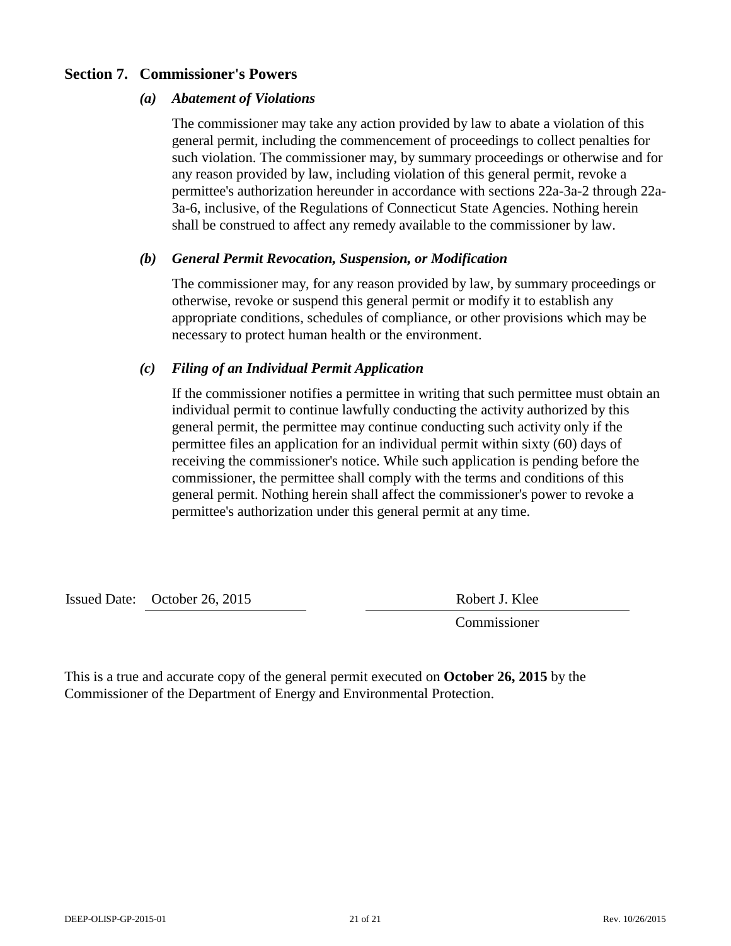## **Section 7. Commissioner's Powers**

#### *(a) Abatement of Violations*

The commissioner may take any action provided by law to abate a violation of this general permit, including the commencement of proceedings to collect penalties for such violation. The commissioner may, by summary proceedings or otherwise and for any reason provided by law, including violation of this general permit, revoke a permittee's authorization hereunder in accordance with sections 22a-3a-2 through 22a-3a-6, inclusive, of the Regulations of Connecticut State Agencies. Nothing herein shall be construed to affect any remedy available to the commissioner by law.

### *(b) General Permit Revocation, Suspension, or Modification*

The commissioner may, for any reason provided by law, by summary proceedings or otherwise, revoke or suspend this general permit or modify it to establish any appropriate conditions, schedules of compliance, or other provisions which may be necessary to protect human health or the environment.

## *(c) Filing of an Individual Permit Application*

If the commissioner notifies a permittee in writing that such permittee must obtain an individual permit to continue lawfully conducting the activity authorized by this general permit, the permittee may continue conducting such activity only if the permittee files an application for an individual permit within sixty (60) days of receiving the commissioner's notice. While such application is pending before the commissioner, the permittee shall comply with the terms and conditions of this general permit. Nothing herein shall affect the commissioner's power to revoke a permittee's authorization under this general permit at any time.

Issued Date: October 26, 2015 Robert J. Klee

Commissioner

This is a true and accurate copy of the general permit executed on **October 26, 2015** by the Commissioner of the Department of Energy and Environmental Protection.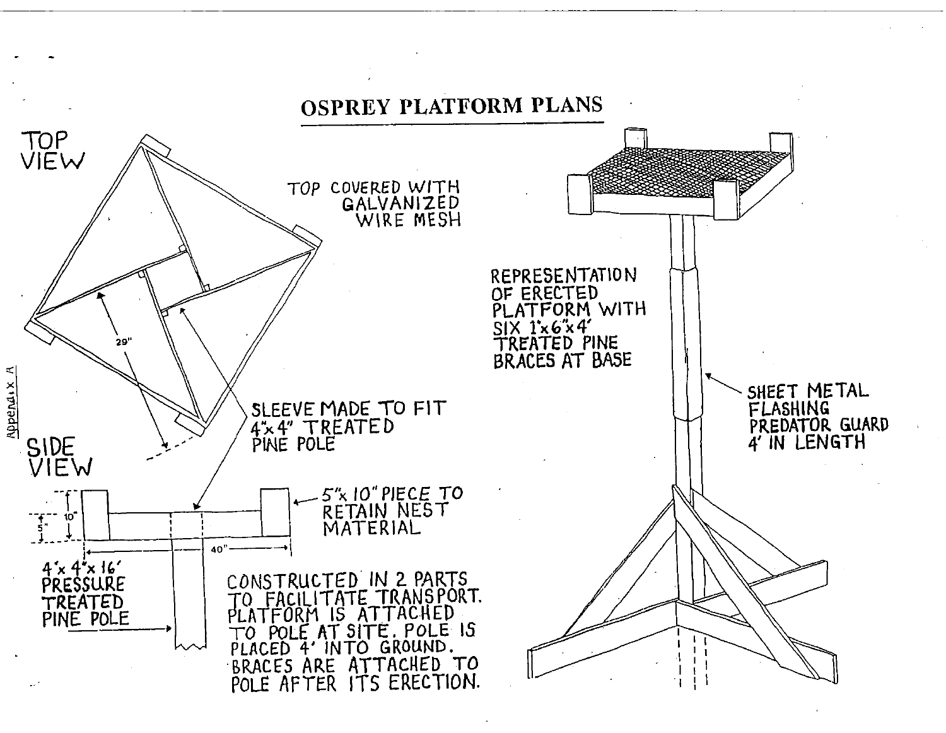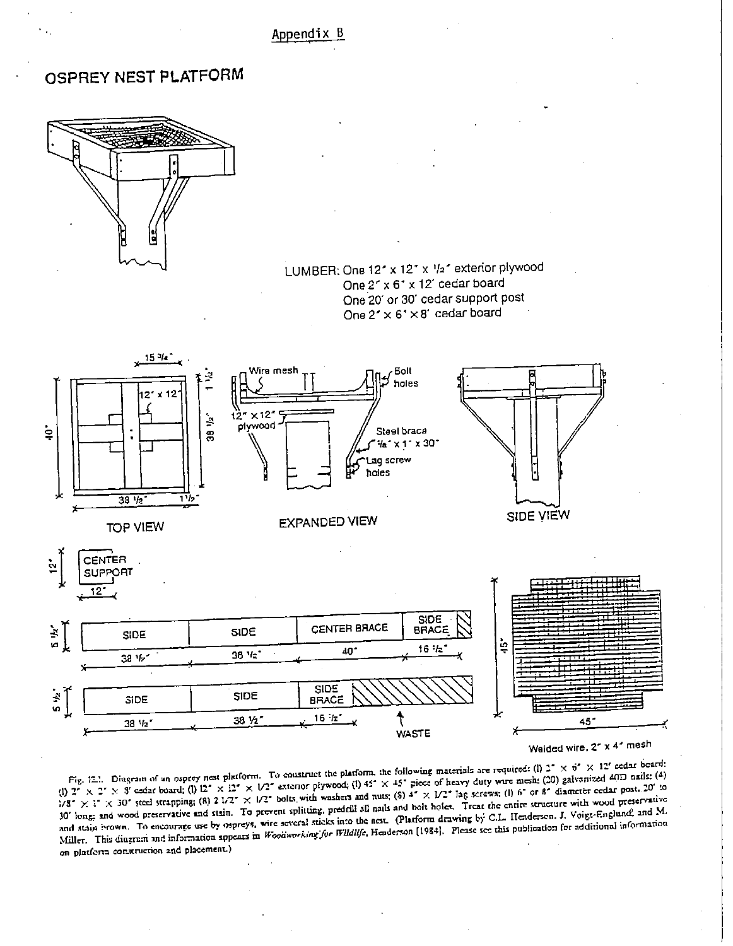Appendix B

## OSPREY NEST PLATFORM



LUMBER: One 12" x 12" x 1/2" exterior plywood One 2" x 6" x 12" cedar board One 20' or 30' cedar support post One  $2^r \times 6^r \times 8^r$  cedar board



Fig. 12.1. Diagram of an osprey nest platform. To construct the platform, the following materials are required: (l) 2° × 6° × 12' ecdar board: (1)  $2^{\circ} \times 2^{\circ} \times 3^{\circ}$  extern board; (1)  $12^{\circ} \times 12^{\circ} \times 12^{\circ} \times 12^{\circ}$  extern or plywood; (1)  $45^{\circ} \times 45^{\circ}$  piece of heavy duty wire mesh: (20) galvanized 40D nails: (4) 1/8" × 1" × 30" steel strapping; (8) 2 1/2" × 1/2" bolts with washers and nuts; (8) 4" × 1/2" lag serews; (1) 6" or 8" diameter cedar post. 20" to 10' long, and wood preservative and stain. To prevent splitting, predrill all nails and bolt holes. Treat the entire structure with wood preservative and stain ivown. To encourage use by ospreys, wire several sticks into the nest. (Platform drawing by C.L. Henderson. J. Voigt-Englund, and M. Miller. This diagram and information appears in Woodworking for Wildlife, Henderson [1984]. Please see this publication for additional information on platform construction and placement.)